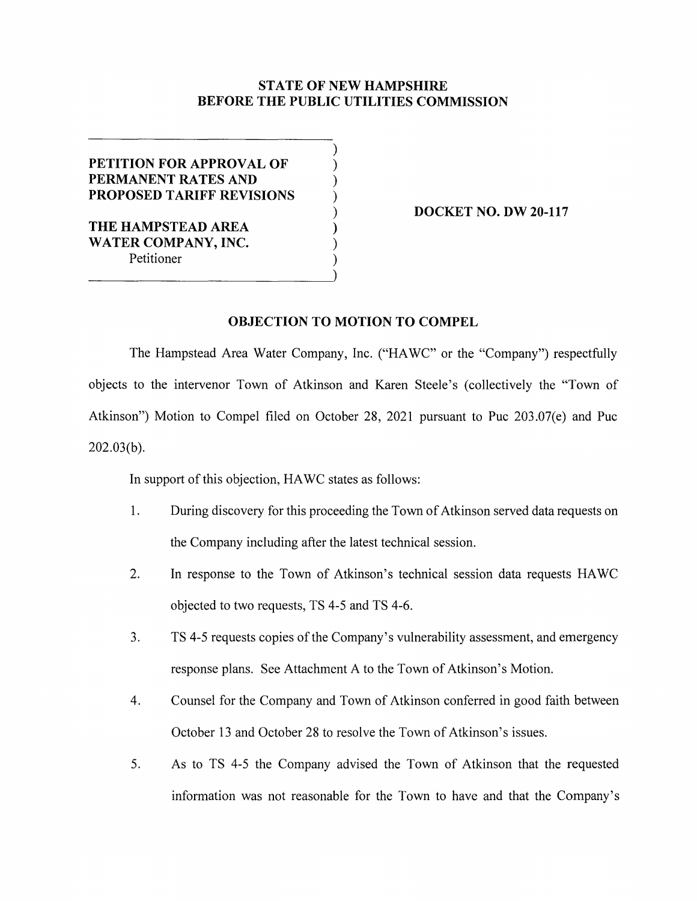## **STATE OF NEW HAMPSHIRE BEFORE THE PUBLIC UTILITIES COMMISSION**

) ) ) ) ) ) ) )

## **PETITION FOR APPROVAL OF PERMANENT RATES AND PROPOSED TARIFF REVISIONS**

**THE HAMPSTEAD AREA WATER COMPANY, INC.**  Petitioner

**DOCKET NO. DW 20-117** 

## **OBJECTION TO MOTION TO COMPEL**

The Hampstead Area Water Company, Inc. ("HA WC" or the "Company") respectfully objects to the intervenor Town of Atkinson and Karen Steele's (collectively the "Town of Atkinson") Motion to Compel filed on October 28, 2021 pursuant to Puc 203.07(e) and Puc 202.03(b).

In support of this objection, HA WC states as follows:

- 1. During discovery for this proceeding the Town of Atkinson served data requests on the Company including after the latest technical session.
- 2. In response to the Town of Atkinson's technical session data requests HA WC objected to two requests, TS 4-5 and TS 4-6.
- 3. TS 4-5 requests copies of the Company's vulnerability assessment, and emergency response plans. See Attachment A to the Town of Atkinson's Motion.
- 4. Counsel for the Company and Town of Atkinson conferred in good faith between October 13 and October 28 to resolve the Town of Atkinson's issues.
- 5. As to TS 4-5 the Company advised the Town of Atkinson that the requested information was not reasonable for the Town to have and that the Company's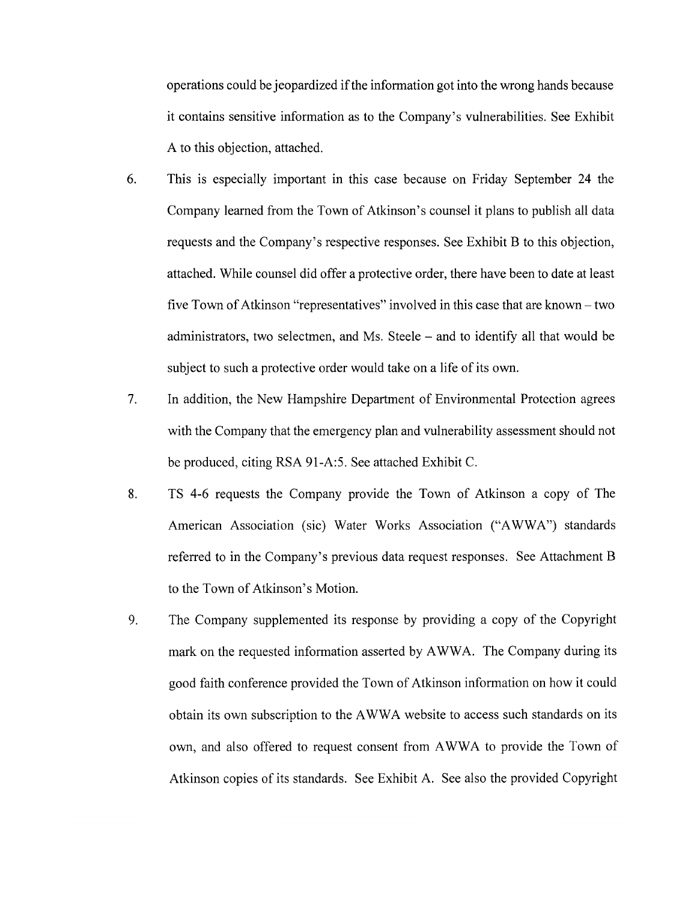operations could be jeopardized if the information got into the wrong hands because it contains sensitive information as to the Company's vulnerabilities. See Exhibit A to this objection, attached.

- 6. This is especially important in this case because on Friday September 24 the Company learned from the Town of Atkinson's counsel it plans to publish all data requests and the Company's respective responses. See Exhibit B to this objection, attached. While counsel did offer a protective order, there have been to date at least five Town of Atkinson "representatives" involved in this case that are known- two administrators, two selectmen, and Ms. Steele – and to identify all that would be subject to such a protective order would take on a life of its own.
- 7. In addition, the New Hampshire Department of Environmental Protection agrees with the Company that the emergency plan and vulnerability assessment should not be produced, citing RSA 91-A:5. See attached Exhibit C.
- 8. TS 4-6 requests the Company provide the Town of Atkinson a copy of The American Association (sic) Water Works Association ("AWWA") standards referred to in the Company's previous data request responses. See Attachment B to the Town of Atkinson's Motion.
- 9. The Company supplemented its response by providing a copy of the Copyright mark on the requested information asserted by A WWA. The Company during its good faith conference provided the Town of Atkinson information on how it could obtain its own subscription to the AWWA website to access such standards on its own, and also offered to request consent from A WWA to provide the Town of Atkinson copies of its standards. See Exhibit A. See also the provided Copyright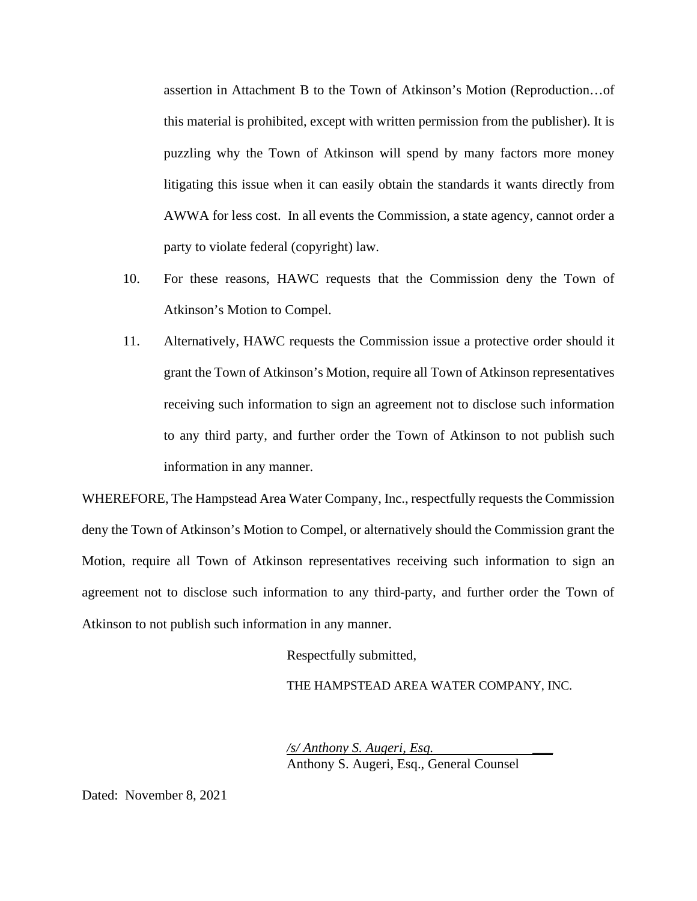assertion in Attachment B to the Town of Atkinson's Motion (Reproduction…of this material is prohibited, except with written permission from the publisher). It is puzzling why the Town of Atkinson will spend by many factors more money litigating this issue when it can easily obtain the standards it wants directly from AWWA for less cost. In all events the Commission, a state agency, cannot order a party to violate federal (copyright) law.

- 10. For these reasons, HAWC requests that the Commission deny the Town of Atkinson's Motion to Compel.
- 11. Alternatively, HAWC requests the Commission issue a protective order should it grant the Town of Atkinson's Motion, require all Town of Atkinson representatives receiving such information to sign an agreement not to disclose such information to any third party, and further order the Town of Atkinson to not publish such information in any manner.

WHEREFORE, The Hampstead Area Water Company, Inc., respectfully requests the Commission deny the Town of Atkinson's Motion to Compel, or alternatively should the Commission grant the Motion, require all Town of Atkinson representatives receiving such information to sign an agreement not to disclose such information to any third-party, and further order the Town of Atkinson to not publish such information in any manner.

Respectfully submitted,

THE HAMPSTEAD AREA WATER COMPANY, INC.

*/s/ Anthony S. Augeri, Esq.* \_\_\_ Anthony S. Augeri, Esq., General Counsel

Dated: November 8, 2021